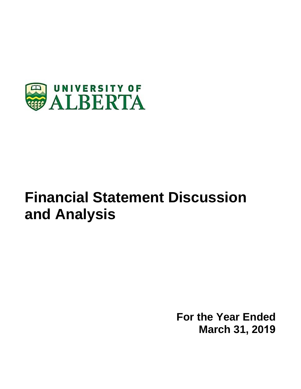

# **Financial Statement Discussion and Analysis**

**For the Year Ended March 31, 2019**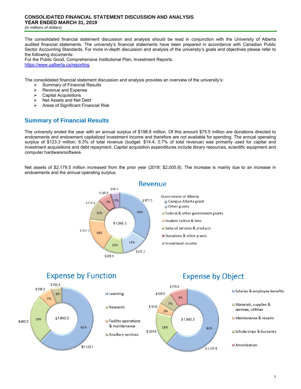The consolidated financial statement discussion and analysis should be read in conjunction with the University of Alberta audited financial statements. The university's financial statements have been prepared in accordance with Canadian Public Sector Accounting Standards. For more in-depth discussion and analysis of the university's goals and objectives please refer to the following documents:

For the Public Good, Comprehensive Institutional Plan, Investment Reports. https://www.ualberta.ca/reporting

The consolidated financial statement discussion and analysis provides an overview of the university's:

- $\geq$  Summary of Financial Results<br>  $\geq$  Revenue and Expense
- Revenue and Expense
- $\triangleright$  Capital Acquisitions<br> $\triangleright$  Net Assets and Net
- $\triangleright$  Net Assets and Net Debt<br> $\triangleright$  Areas of Significant Finar
- Areas of Significant Financial Risk

# **Summary of Financial Results**

The university ended the year with an annual surplus of \$198.8 million. Of this amount \$75.5 million are donations directed to endowments and endowment capitalized investment income and therefore are not available for spending. The annual operating surplus of \$123.3 million; 6.3% of total revenue (budget: \$14.4; 0.7% of total revenue) was primarily used for capital and investment acquisitions and debt repayment. Capital acquisition expenditures include library resources, scientific equipment and computer hardware/software.

Net assets of \$2,179.5 million increased from the prior year (2018: \$2,005.8). The increase is mainly due to an increase in endowments and the annual operating surplus.



**Expense by Function** 



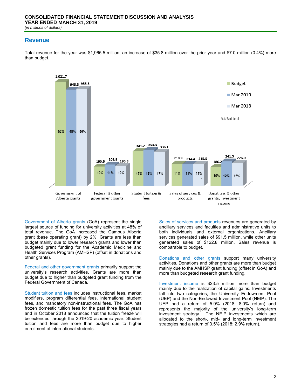## **Revenue**

Total revenue for the year was \$1,965.5 million, an increase of \$35.8 million over the prior year and \$7.0 million (0.4%) more than budget.



Government of Alberta grants (GoA) represent the single largest source of funding for university activities at 48% of total revenue. The GoA increased the Campus Alberta grant (base operating grant) by 2%. Grants are less than budget mainly due to lower research grants and lower than budgeted grant funding for the Academic Medicine and Health Services Program (AMHSP) (offset in donations and other grants).

Federal and other government grants primarily support the university's research activities. Grants are more than budget due to higher than budgeted grant funding from the Federal Government of Canada.

Student tuition and fees includes instructional fees, market modifiers, program differential fees, international student fees, and mandatory non-instructional fees. The GoA has frozen domestic tuition fees for the past three fiscal years and in October 2018 announced that the tuition freeze will be extended through the 2019-20 academic year. Student tuition and fees are more than budget due to higher enrollment of international students.

Sales of services and products revenues are generated by ancillary services and faculties and administrative units to both individuals and external organizations. Ancillary services generated sales of \$91.5 million, while other units generated sales of \$122.8 million. Sales revenue is comparable to budget.

Donations and other grants support many university activities. Donations and other grants are more than budget mainly due to the AMHSP grant funding (offset in GoA) and more than budgeted research grant funding.

Investment income is \$23.5 million more than budget mainly due to the realization of capital gains. Investments fall into two categories, the University Endowment Pool (UEP) and the Non-Endowed Investment Pool (NEIP). The UEP had a return of 5.9% (2018: 8.0% return) and represents the majority of the university's long-term investment strategy. The NEIP investments which are allocated to the short-, mid- and long-term investment strategies had a return of 3.5% (2018: 2.9% return).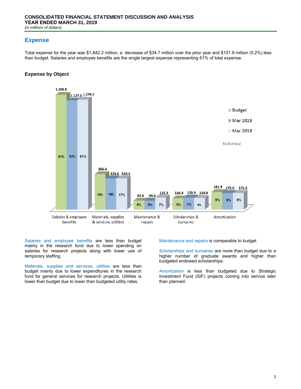## **Expense**

Total expense for the year was \$1,842.2 million, a decrease of \$34.7 million over the prior year and \$101.9 million (5.2%) less than budget. Salaries and employee benefits are the single largest expense representing 61% of total expense.

## **Expense by Object**



Salaries and employee benefits are less than budget mainly in the research fund due to lower spending on salaries for research projects along with lower use of temporary staffing.

Materials, supplies and services, utilities are less than budget mainly due to lower expenditures in the research fund for general services for research projects. Utilities is lower than budget due to lower than budgeted utility rates.

Maintenance and repairs is comparable to budget.

Scholarships and bursaries are more than budget due to a higher number of graduate awards and higher than budgeted endowed scholarships.

Amortization is less than budgeted due to Strategic Investment Fund (SIF) projects coming into service later than planned.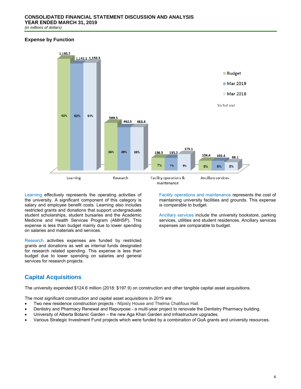## **Expense by Function**



Learning effectively represents the operating activities of the university. A significant component of this category is salary and employee benefit costs. Learning also includes restricted grants and donations that support undergraduate student scholarships, student bursaries and the Academic Medicine and Health Services Program (AMHSP). This expense is less than budget mainly due to lower spending on salaries and materials and services.

Research activities expenses are funded by restricted grants and donations as well as internal funds designated for research related spending. This expense is less than budget due to lower spending on salaries and general services for research projects.

Facility operations and maintenance represents the cost of maintaining university facilities and grounds. This expense is comparable to budget.

Ancillary services include the university bookstore, parking services, utilities and student residences. Ancillary services expenses are comparable to budget.

# **Capital Acquisitions**

The university expended \$124.6 million (2018: \$197.9) on construction and other tangible capital asset acquisitions.

The most significant construction and capital asset acquisitions in 2019 are:

- Two new residence construction projects Nîpisîy House and Thelma Chalifoux Hall.
- Dentistry and Pharmacy Renewal and Repurpose a multi-year project to renovate the Dentistry Pharmacy building.
- University of Alberta Botanic Garden the new Aga Khan Garden and infrastructure upgrades.
- Various Strategic Investment Fund projects which were funded by a combination of GoA grants and university resources.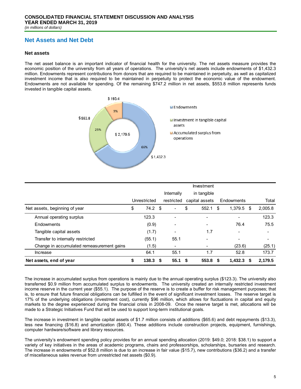# **Net Assets and Net Debt**

#### **Net assets**

The net asset balance is an important indicator of financial health for the university. The net assets measure provides the economic position of the university from all years of operations. The university's net assets include endowments of \$1,432.3 million. Endowments represent contributions from donors that are required to be maintained in perpetuity, as well as capitalized investment income that is also required to be maintained in perpetuity to protect the economic value of the endowment. Endowments are not available for spending. Of the remaining \$747.2 million in net assets, \$553.8 million represents funds invested in tangible capital assets.



|                                           |                          |                          | Investment               |    |                          |                          |
|-------------------------------------------|--------------------------|--------------------------|--------------------------|----|--------------------------|--------------------------|
|                                           |                          | Internally               | in tangible              |    |                          |                          |
|                                           | Unrestricted             | restricted               | capital assets           |    | Endowments               | Total                    |
| Net assets, beginning of year             | \$<br>$74.2$ \$          | $\blacksquare$           | \$<br>552.1              | \$ | 1.379.5<br>S             | 2,005.8                  |
| Annual operating surplus                  | 123.3                    |                          |                          |    |                          | 123.3                    |
| Endowments                                | (0.9)                    |                          | $\overline{\phantom{0}}$ |    | 76.4                     | 75.5                     |
| Tangible capital assets                   | (1.7)                    |                          | 1.7                      |    | $\overline{\phantom{0}}$ | $\overline{\phantom{a}}$ |
| Transfer to internally restricted         | (55.1)                   | 55.1                     | -                        |    |                          | $\overline{\phantom{a}}$ |
| Change in accumulated remeasurement gains | (1.5)                    | $\overline{\phantom{a}}$ | -                        |    | (23.6)                   | (25.1)                   |
| Increase                                  | 64.1                     | 55.1                     | 1.7                      |    | 52.8                     | 173.7                    |
| Net assets, end of year                   | \$<br>138.3 <sup>5</sup> | 55.1 S                   | 553.8                    | S. | $1,432.3$ \$             | 2,179.5                  |

The increase in accumulated surplus from operations is mainly due to the annual operating surplus (\$123.3). The university also transferred \$0.9 million from accumulated surplus to endowments. The university created an internally restricted investment income reserve in the current year (\$55.1). The purpose of the reserve is to create a buffer for risk management purposes; that is, to ensure that future financial obligations can be fulfilled in the event of significant investment losses. The reserve target is 17% of the underlying obligations (investment cost), currently \$96 million, which allows for fluctuations in capital and equity markets to the degree experienced during the financial crisis in 2008-09. Once the reserve target is met, allocations will be made to a Strategic Initiatives Fund that will be used to support long-term institutional goals.

The increase in investment in tangible capital assets of \$1.7 million consists of additions (\$65.6) and debt repayments (\$13.3), less new financing (\$16.8) and amortization (\$60.4). These additions include construction projects, equipment, furnishings, computer hardware/software and library resources.

The university's endowment spending policy provides for an annual spending allocation (2019: \$49.0; 2018: \$38.1) to support a variety of key initiatives in the areas of academic programs, chairs and professorships, scholarships, bursaries and research. The increase in endowments of \$52.8 million is due to an increase in fair value (\$15.7), new contributions (\$36.2) and a transfer of miscellaneous sales revenue from unrestricted net assets (\$0.9).